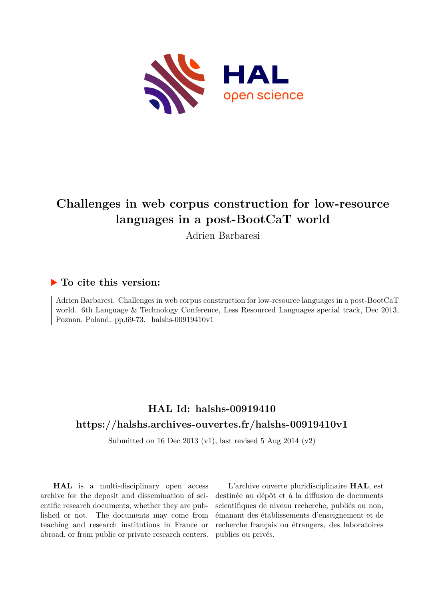

# **Challenges in web corpus construction for low-resource languages in a post-BootCaT world**

Adrien Barbaresi

## **To cite this version:**

Adrien Barbaresi. Challenges in web corpus construction for low-resource languages in a post-BootCaT world. 6th Language & Technology Conference, Less Resourced Languages special track, Dec 2013, Poznan, Poland. pp.69-73. halshs-00919410v1

## **HAL Id: halshs-00919410 <https://halshs.archives-ouvertes.fr/halshs-00919410v1>**

Submitted on 16 Dec 2013 (v1), last revised 5 Aug 2014 (v2)

**HAL** is a multi-disciplinary open access archive for the deposit and dissemination of scientific research documents, whether they are published or not. The documents may come from teaching and research institutions in France or abroad, or from public or private research centers.

L'archive ouverte pluridisciplinaire **HAL**, est destinée au dépôt et à la diffusion de documents scientifiques de niveau recherche, publiés ou non, émanant des établissements d'enseignement et de recherche français ou étrangers, des laboratoires publics ou privés.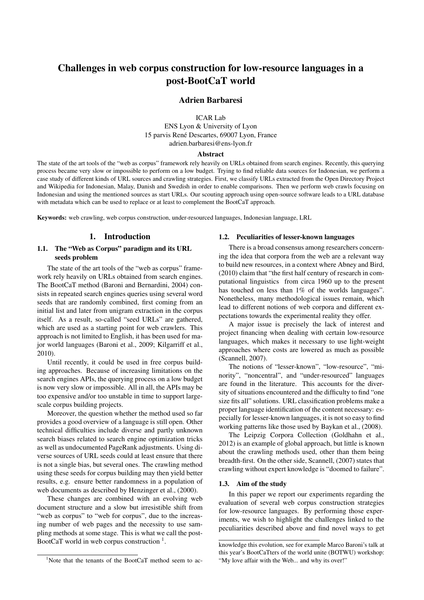## Challenges in web corpus construction for low-resource languages in a post-BootCaT world

#### Adrien Barbaresi

ICAR Lab ENS Lyon & University of Lyon 15 parvis René Descartes, 69007 Lyon, France adrien.barbaresi@ens-lyon.fr

#### Abstract

The state of the art tools of the "web as corpus" framework rely heavily on URLs obtained from search engines. Recently, this querying process became very slow or impossible to perform on a low budget. Trying to find reliable data sources for Indonesian, we perform a case study of different kinds of URL sources and crawling strategies. First, we classify URLs extracted from the Open Directory Project and Wikipedia for Indonesian, Malay, Danish and Swedish in order to enable comparisons. Then we perform web crawls focusing on Indonesian and using the mentioned sources as start URLs. Our scouting approach using open-source software leads to a URL database with metadata which can be used to replace or at least to complement the BootCaT approach.

Keywords: web crawling, web corpus construction, under-resourced languages, Indonesian language, LRL

#### 1. Introduction

#### 1.1. The "Web as Corpus" paradigm and its URL seeds problem

The state of the art tools of the "web as corpus" framework rely heavily on URLs obtained from search engines. The BootCaT method (Baroni and Bernardini, 2004) consists in repeated search engines queries using several word seeds that are randomly combined, first coming from an initial list and later from unigram extraction in the corpus itself. As a result, so-called "seed URLs" are gathered, which are used as a starting point for web crawlers. This approach is not limited to English, it has been used for major world languages (Baroni et al., 2009; Kilgarriff et al., 2010).

Until recently, it could be used in free corpus building approaches. Because of increasing limitations on the search engines APIs, the querying process on a low budget is now very slow or impossible. All in all, the APIs may be too expensive and/or too unstable in time to support largescale corpus building projects.

Moreover, the question whether the method used so far provides a good overview of a language is still open. Other technical difficulties include diverse and partly unknown search biases related to search engine optimization tricks as well as undocumented PageRank adjustments. Using diverse sources of URL seeds could at least ensure that there is not a single bias, but several ones. The crawling method using these seeds for corpus building may then yield better results, e.g. ensure better randomness in a population of web documents as described by Henzinger et al., (2000).

These changes are combined with an evolving web document structure and a slow but irresistible shift from "web as corpus" to "web for corpus", due to the increasing number of web pages and the necessity to use sampling methods at some stage. This is what we call the post-BootCaT world in web corpus construction  $<sup>1</sup>$ .</sup>

#### 1.2. Peculiarities of lesser-known languages

There is a broad consensus among researchers concerning the idea that corpora from the web are a relevant way to build new resources, in a context where Abney and Bird, (2010) claim that "the first half century of research in computational linguistics from circa 1960 up to the present has touched on less than 1% of the worlds languages". Nonetheless, many methodological issues remain, which lead to different notions of web corpora and different expectations towards the experimental reality they offer.

A major issue is precisely the lack of interest and project financing when dealing with certain low-resource languages, which makes it necessary to use light-weight approaches where costs are lowered as much as possible (Scannell, 2007).

The notions of "lesser-known", "low-resource", "minority", "noncentral", and "under-resourced" languages are found in the literature. This accounts for the diversity of situations encountered and the difficulty to find "one size fits all" solutions. URL classification problems make a proper language identification of the content necessary: especially for lesser-known languages, it is not so easy to find working patterns like those used by Baykan et al., (2008).

The Leipzig Corpora Collection (Goldhahn et al., 2012) is an example of global approach, but little is known about the crawling methods used, other than them being breadth-first. On the other side, Scannell, (2007) states that crawling without expert knowledge is "doomed to failure".

#### 1.3. Aim of the study

In this paper we report our experiments regarding the evaluation of several web corpus construction strategies for low-resource languages. By performing those experiments, we wish to highlight the challenges linked to the peculiarities described above and find novel ways to get

knowledge this evolution, see for example Marco Baroni's talk at this year's BootCaTters of the world unite (BOTWU) workshop: "My love affair with the Web... and why its over!"

<sup>&</sup>lt;sup>1</sup>Note that the tenants of the BootCaT method seem to ac-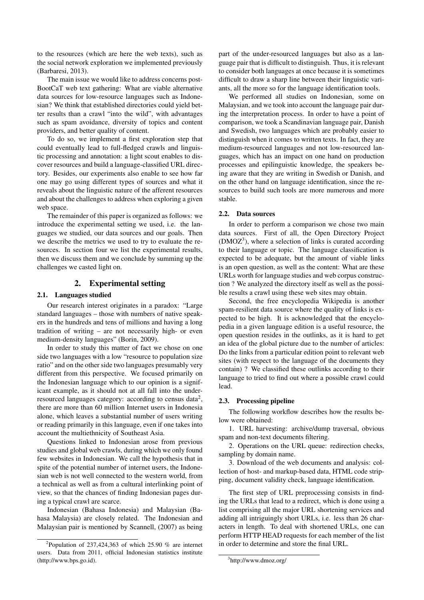to the resources (which are here the web texts), such as the social network exploration we implemented previously (Barbaresi, 2013).

The main issue we would like to address concerns post-BootCaT web text gathering: What are viable alternative data sources for low-resource languages such as Indonesian? We think that established directories could yield better results than a crawl "into the wild", with advantages such as spam avoidance, diversity of topics and content providers, and better quality of content.

To do so, we implement a first exploration step that could eventually lead to full-fledged crawls and linguistic processing and annotation: a light scout enables to discover resources and build a language-classified URL directory. Besides, our experiments also enable to see how far one may go using different types of sources and what it reveals about the linguistic nature of the afferent resources and about the challenges to address when exploring a given web space.

The remainder of this paper is organized as follows: we introduce the experimental setting we used, i.e. the languages we studied, our data sources and our goals. Then we describe the metrics we used to try to evaluate the resources. In section four we list the experimental results, then we discuss them and we conclude by summing up the challenges we casted light on.

#### 2. Experimental setting

#### 2.1. Languages studied

Our research interest originates in a paradox: "Large standard languages – those with numbers of native speakers in the hundreds and tens of millions and having a long tradition of writing – are not necessarily high- or even medium-density languages" (Borin, 2009).

In order to study this matter of fact we chose on one side two languages with a low "resource to population size ratio" and on the other side two languages presumably very different from this perspective. We focused primarily on the Indonesian language which to our opinion is a significant example, as it should not at all fall into the underresourced languages category: according to census data<sup>2</sup>, there are more than 60 million Internet users in Indonesia alone, which leaves a substantial number of users writing or reading primarily in this language, even if one takes into account the multiethnicity of Southeast Asia.

Questions linked to Indonesian arose from previous studies and global web crawls, during which we only found few websites in Indonesian. We call the hypothesis that in spite of the potential number of internet users, the Indonesian web is not well connected to the western world, from a technical as well as from a cultural interlinking point of view, so that the chances of finding Indonesian pages during a typical crawl are scarce.

Indonesian (Bahasa Indonesia) and Malaysian (Bahasa Malaysia) are closely related. The Indonesian and Malaysian pair is mentioned by Scannell, (2007) as being part of the under-resourced languages but also as a language pair that is difficult to distinguish. Thus, it is relevant to consider both languages at once because it is sometimes difficult to draw a sharp line between their linguistic variants, all the more so for the language identification tools.

We performed all studies on Indonesian, some on Malaysian, and we took into account the language pair during the interpretation process. In order to have a point of comparison, we took a Scandinavian language pair, Danish and Swedish, two languages which are probably easier to distinguish when it comes to written texts. In fact, they are medium-resourced languages and not low-resourced languages, which has an impact on one hand on production processes and epilinguistic knowledge, the speakers being aware that they are writing in Swedish or Danish, and on the other hand on language identification, since the resources to build such tools are more numerous and more stable.

#### 2.2. Data sources

In order to perform a comparison we chose two main data sources. First of all, the Open Directory Project (DMOZ<sup>3</sup>), where a selection of links is curated according to their language or topic. The language classification is expected to be adequate, but the amount of viable links is an open question, as well as the content: What are these URLs worth for language studies and web corpus construction ? We analyzed the directory itself as well as the possible results a crawl using these web sites may obtain.

Second, the free encyclopedia Wikipedia is another spam-resilient data source where the quality of links is expected to be high. It is acknowledged that the encyclopedia in a given language edition is a useful resource, the open question resides in the outlinks, as it is hard to get an idea of the global picture due to the number of articles: Do the links from a particular edition point to relevant web sites (with respect to the language of the documents they contain) ? We classified these outlinks according to their language to tried to find out where a possible crawl could lead.

#### 2.3. Processing pipeline

The following workflow describes how the results below were obtained:

1. URL harvesting: archive/dump traversal, obvious spam and non-text documents filtering.

2. Operations on the URL queue: redirection checks, sampling by domain name.

3. Download of the web documents and analysis: collection of host- and markup-based data, HTML code stripping, document validity check, language identification.

The first step of URL preprocessing consists in finding the URLs that lead to a redirect, which is done using a list comprising all the major URL shortening services and adding all intriguingly short URLs, i.e. less than 26 characters in length. To deal with shortened URLs, one can perform HTTP HEAD requests for each member of the list in order to determine and store the final URL.

<sup>&</sup>lt;sup>2</sup>Population of 237,424,363 of which 25.90  $%$  are internet users. Data from 2011, official Indonesian statistics institute (http://www.bps.go.id).

<sup>3</sup> http://www.dmoz.org/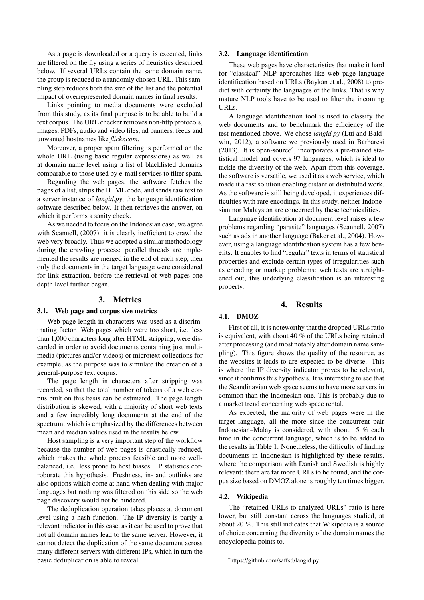As a page is downloaded or a query is executed, links are filtered on the fly using a series of heuristics described below. If several URLs contain the same domain name, the group is reduced to a randomly chosen URL. This sampling step reduces both the size of the list and the potential impact of overrepresented domain names in final results.

Links pointing to media documents were excluded from this study, as its final purpose is to be able to build a text corpus. The URL checker removes non-http protocols, images, PDFs, audio and video files, ad banners, feeds and unwanted hostnames like *flickr.com*.

Moreover, a proper spam filtering is performed on the whole URL (using basic regular expressions) as well as at domain name level using a list of blacklisted domains comparable to those used by e-mail services to filter spam.

Regarding the web pages, the software fetches the pages of a list, strips the HTML code, and sends raw text to a server instance of *langid.py*, the language identification software described below. It then retrieves the answer, on which it performs a sanity check.

As we needed to focus on the Indonesian case, we agree with Scannell, (2007): it is clearly inefficient to crawl the web very broadly. Thus we adopted a similar methodology during the crawling process: parallel threads are implemented the results are merged in the end of each step, then only the documents in the target language were considered for link extraction, before the retrieval of web pages one depth level further began.

#### 3. Metrics

#### 3.1. Web page and corpus size metrics

Web page length in characters was used as a discriminating factor. Web pages which were too short, i.e. less than 1,000 characters long after HTML stripping, were discarded in order to avoid documents containing just multimedia (pictures and/or videos) or microtext collections for example, as the purpose was to simulate the creation of a general-purpose text corpus.

The page length in characters after stripping was recorded, so that the total number of tokens of a web corpus built on this basis can be estimated. The page length distribution is skewed, with a majority of short web texts and a few incredibly long documents at the end of the spectrum, which is emphasized by the differences between mean and median values used in the results below.

Host sampling is a very important step of the workflow because the number of web pages is drastically reduced, which makes the whole process feasible and more wellbalanced, i.e. less prone to host biases. IP statistics corroborate this hypothesis. Freshness, in- and outlinks are also options which come at hand when dealing with major languages but nothing was filtered on this side so the web page discovery would not be hindered.

The deduplication operation takes places at document level using a hash function. The IP diversity is partly a relevant indicator in this case, as it can be used to prove that not all domain names lead to the same server. However, it cannot detect the duplication of the same document across many different servers with different IPs, which in turn the basic deduplication is able to reveal.

#### 3.2. Language identification

These web pages have characteristics that make it hard for "classical" NLP approaches like web page language identification based on URLs (Baykan et al., 2008) to predict with certainty the languages of the links. That is why mature NLP tools have to be used to filter the incoming URLs.

A language identification tool is used to classify the web documents and to benchmark the efficiency of the test mentioned above. We chose *langid.py* (Lui and Baldwin, 2012), a software we previously used in Barbaresi  $(2013)$ . It is open-source<sup>4</sup>, incorporates a pre-trained statistical model and covers 97 languages, which is ideal to tackle the diversity of the web. Apart from this coverage, the software is versatile, we used it as a web service, which made it a fast solution enabling distant or distributed work. As the software is still being developed, it experiences difficulties with rare encodings. In this study, neither Indonesian nor Malaysian are concerned by these technicalities.

Language identification at document level raises a few problems regarding "parasite" languages (Scannell, 2007) such as ads in another language (Baker et al., 2004). However, using a language identification system has a few benefits. It enables to find "regular" texts in terms of statistical properties and exclude certain types of irregularities such as encoding or markup problems: web texts are straightened out, this underlying classification is an interesting property.

#### 4. Results

#### 4.1. DMOZ

First of all, it is noteworthy that the dropped URLs ratio is equivalent, with about 40 % of the URLs being retained after processing (and most notably after domain name sampling). This figure shows the quality of the resource, as the websites it leads to are expected to be diverse. This is where the IP diversity indicator proves to be relevant, since it confirms this hypothesis. It is interesting to see that the Scandinavian web space seems to have more servers in common than the Indonesian one. This is probably due to a market trend concerning web space rental.

As expected, the majority of web pages were in the target language, all the more since the concurrent pair Indonesian–Malay is considered, with about 15 % each time in the concurrent language, which is to be added to the results in Table 1. Nonetheless, the difficulty of finding documents in Indonesian is highlighted by these results, where the comparison with Danish and Swedish is highly relevant: there are far more URLs to be found, and the corpus size based on DMOZ alone is roughly ten times bigger.

#### 4.2. Wikipedia

The "retained URLs to analyzed URLs" ratio is here lower, but still constant across the languages studied, at about 20 %. This still indicates that Wikipedia is a source of choice concerning the diversity of the domain names the encyclopedia points to.

<sup>4</sup> https://github.com/saffsd/langid.py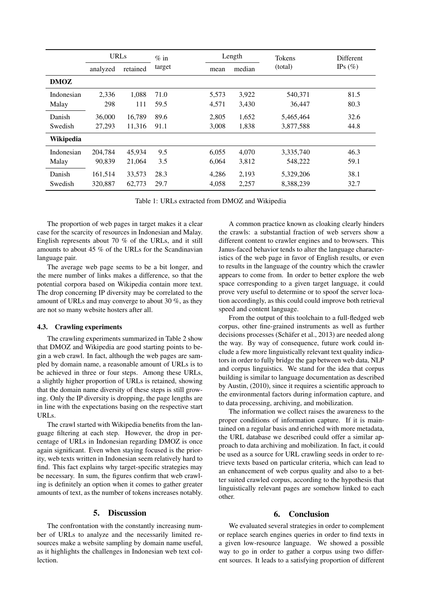|             | <b>URLs</b> |          | $\%$ in |       | Length | <b>Tokens</b> | <b>Different</b> |  |
|-------------|-------------|----------|---------|-------|--------|---------------|------------------|--|
|             | analyzed    | retained | target  | mean  | median | (total)       | IPs $(\% )$      |  |
| <b>DMOZ</b> |             |          |         |       |        |               |                  |  |
| Indonesian  | 2,336       | 1.088    | 71.0    | 5,573 | 3,922  | 540,371       | 81.5             |  |
| Malay       | 298         | 111      | 59.5    | 4,571 | 3,430  | 36,447        | 80.3             |  |
| Danish      | 36,000      | 16.789   | 89.6    | 2.805 | 1,652  | 5,465,464     | 32.6             |  |
| Swedish     | 27,293      | 11,316   | 91.1    | 3,008 | 1,838  | 3,877,588     | 44.8             |  |
| Wikipedia   |             |          |         |       |        |               |                  |  |
| Indonesian  | 204.784     | 45.934   | 9.5     | 6,055 | 4,070  | 3,335,740     | 46.3             |  |
| Malay       | 90.839      | 21,064   | 3.5     | 6.064 | 3,812  | 548,222       | 59.1             |  |
| Danish      | 161,514     | 33,573   | 28.3    | 4,286 | 2,193  | 5,329,206     | 38.1             |  |
| Swedish     | 320,887     | 62,773   | 29.7    | 4,058 | 2,257  | 8,388,239     | 32.7             |  |

Table 1: URLs extracted from DMOZ and Wikipedia

The proportion of web pages in target makes it a clear case for the scarcity of resources in Indonesian and Malay. English represents about 70 % of the URLs, and it still amounts to about 45 % of the URLs for the Scandinavian language pair.

The average web page seems to be a bit longer, and the mere number of links makes a difference, so that the potential corpora based on Wikipedia contain more text. The drop concerning IP diversity may be correlated to the amount of URLs and may converge to about 30 %, as they are not so many website hosters after all.

#### 4.3. Crawling experiments

The crawling experiments summarized in Table 2 show that DMOZ and Wikipedia are good starting points to begin a web crawl. In fact, although the web pages are sampled by domain name, a reasonable amount of URLs is to be achieved in three or four steps. Among these URLs, a slightly higher proportion of URLs is retained, showing that the domain name diversity of these steps is still growing. Only the IP diversity is dropping, the page lengths are in line with the expectations basing on the respective start URLs.

The crawl started with Wikipedia benefits from the language filtering at each step. However, the drop in percentage of URLs in Indonesian regarding DMOZ is once again significant. Even when staying focused is the priority, web texts written in Indonesian seem relatively hard to find. This fact explains why target-specific strategies may be necessary. In sum, the figures confirm that web crawling is definitely an option when it comes to gather greater amounts of text, as the number of tokens increases notably.

#### 5. Discussion

The confrontation with the constantly increasing number of URLs to analyze and the necessarily limited resources make a website sampling by domain name useful, as it highlights the challenges in Indonesian web text collection.

A common practice known as cloaking clearly hinders the crawls: a substantial fraction of web servers show a different content to crawler engines and to browsers. This Janus-faced behavior tends to alter the language characteristics of the web page in favor of English results, or even to results in the language of the country which the crawler appears to come from. In order to better explore the web space corresponding to a given target language, it could prove very useful to determine or to spoof the server location accordingly, as this could could improve both retrieval speed and content language.

From the output of this toolchain to a full-fledged web corpus, other fine-grained instruments as well as further decisions processes (Schäfer et al., 2013) are needed along the way. By way of consequence, future work could include a few more linguistically relevant text quality indicators in order to fully bridge the gap between web data, NLP and corpus linguistics. We stand for the idea that corpus building is similar to language documentation as described by Austin, (2010), since it requires a scientific approach to the environmental factors during information capture, and to data processing, archiving, and mobilization.

The information we collect raises the awareness to the proper conditions of information capture. If it is maintained on a regular basis and enriched with more metadata, the URL database we described could offer a similar approach to data archiving and mobilization. In fact, it could be used as a source for URL crawling seeds in order to retrieve texts based on particular criteria, which can lead to an enhancement of web corpus quality and also to a better suited crawled corpus, according to the hypothesis that linguistically relevant pages are somehow linked to each other.

#### 6. Conclusion

We evaluated several strategies in order to complement or replace search engines queries in order to find texts in a given low-resource language. We showed a possible way to go in order to gather a corpus using two different sources. It leads to a satisfying proportion of different